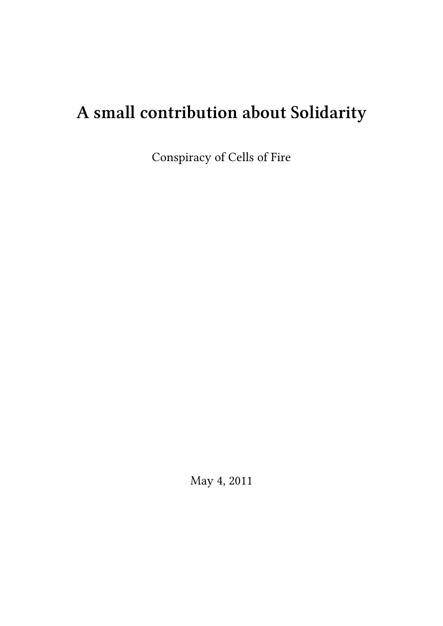# **A small contribution about Solidarity**

Conspiracy of Cells of Fire

May 4, 2011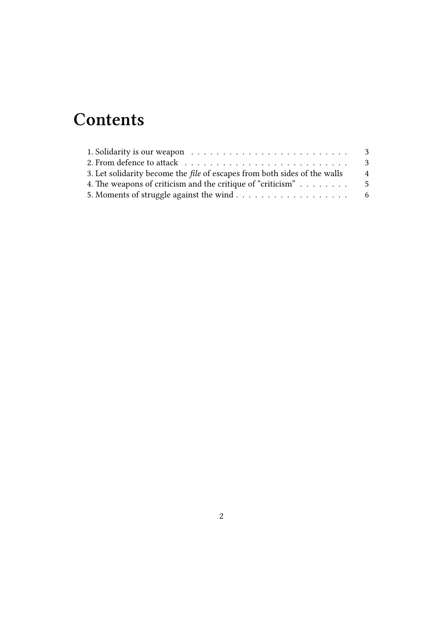## **Contents**

|                                                                                  | - 3            |
|----------------------------------------------------------------------------------|----------------|
| 3. Let solidarity become the <i>file</i> of escapes from both sides of the walls | $\overline{4}$ |
| 4. The weapons of criticism and the critique of "criticism"                      | - 5            |
|                                                                                  |                |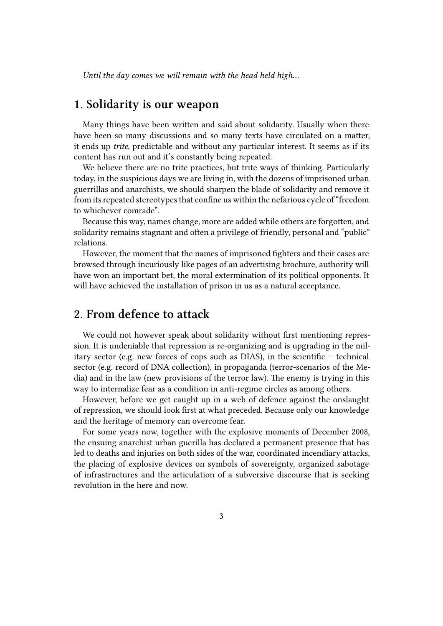*Until the day comes we will remain with the head held high…*

#### <span id="page-2-0"></span>**1. Solidarity is our weapon**

Many things have been written and said about solidarity. Usually when there have been so many discussions and so many texts have circulated on a matter, it ends up *trite*, predictable and without any particular interest. It seems as if its content has run out and it's constantly being repeated.

We believe there are no trite practices, but trite ways of thinking. Particularly today, in the suspicious days we are living in, with the dozens of imprisoned urban guerrillas and anarchists, we should sharpen the blade of solidarity and remove it from its repeated stereotypes that confine us within the nefarious cycle of "freedom to whichever comrade".

Because this way, names change, more are added while others are forgotten, and solidarity remains stagnant and often a privilege of friendly, personal and "public" relations.

However, the moment that the names of imprisoned fighters and their cases are browsed through incuriously like pages of an advertising brochure, authority will have won an important bet, the moral extermination of its political opponents. It will have achieved the installation of prison in us as a natural acceptance.

#### <span id="page-2-1"></span>**2. From defence to attack**

We could not however speak about solidarity without first mentioning repression. It is undeniable that repression is re-organizing and is upgrading in the military sector (e.g. new forces of cops such as DIAS), in the scientific – technical sector (e.g. record of DNA collection), in propaganda (terror-scenarios of the Media) and in the law (new provisions of the terror law). The enemy is trying in this way to internalize fear as a condition in anti-regime circles as among others.

However, before we get caught up in a web of defence against the onslaught of repression, we should look first at what preceded. Because only our knowledge and the heritage of memory can overcome fear.

For some years now, together with the explosive moments of December 2008, the ensuing anarchist urban guerilla has declared a permanent presence that has led to deaths and injuries on both sides of the war, coordinated incendiary attacks, the placing of explosive devices on symbols of sovereignty, organized sabotage of infrastructures and the articulation of a subversive discourse that is seeking revolution in the here and now.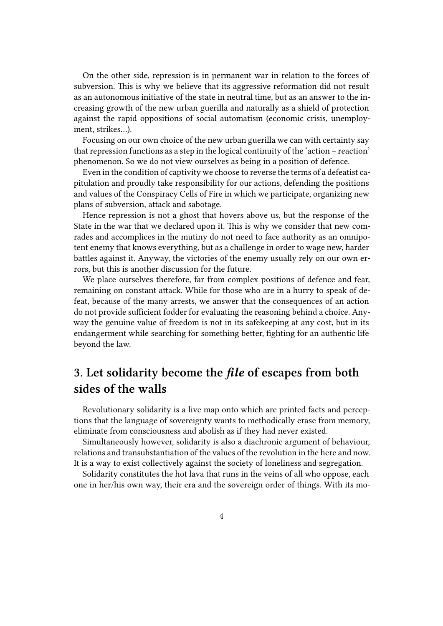On the other side, repression is in permanent war in relation to the forces of subversion. This is why we believe that its aggressive reformation did not result as an autonomous initiative of the state in neutral time, but as an answer to the increasing growth of the new urban guerilla and naturally as a shield of protection against the rapid oppositions of social automatism (economic crisis, unemployment, strikes…).

Focusing on our own choice of the new urban guerilla we can with certainty say that repression functions as a step in the logical continuity of the 'action – reaction' phenomenon. So we do not view ourselves as being in a position of defence.

Even in the condition of captivity we choose to reverse the terms of a defeatist capitulation and proudly take responsibility for our actions, defending the positions and values of the Conspiracy Cells of Fire in which we participate, organizing new plans of subversion, attack and sabotage.

Hence repression is not a ghost that hovers above us, but the response of the State in the war that we declared upon it. This is why we consider that new comrades and accomplices in the mutiny do not need to face authority as an omnipotent enemy that knows everything, but as a challenge in order to wage new, harder battles against it. Anyway, the victories of the enemy usually rely on our own errors, but this is another discussion for the future.

We place ourselves therefore, far from complex positions of defence and fear, remaining on constant attack. While for those who are in a hurry to speak of defeat, because of the many arrests, we answer that the consequences of an action do not provide sufficient fodder for evaluating the reasoning behind a choice. Anyway the genuine value of freedom is not in its safekeeping at any cost, but in its endangerment while searching for something better, fighting for an authentic life beyond the law.

### **3. Let solidarity become the** *file* **of escapes from both sides of the walls**

Revolutionary solidarity is a live map onto which are printed facts and perceptions that the language of sovereignty wants to methodically erase from memory, eliminate from consciousness and abolish as if they had never existed.

Simultaneously however, solidarity is also a diachronic argument of behaviour, relations and transubstantiation of the values of the revolution in the here and now. It is a way to exist collectively against the society of loneliness and segregation.

Solidarity constitutes the hot lava that runs in the veins of all who oppose, each one in her/his own way, their era and the sovereign order of things. With its mo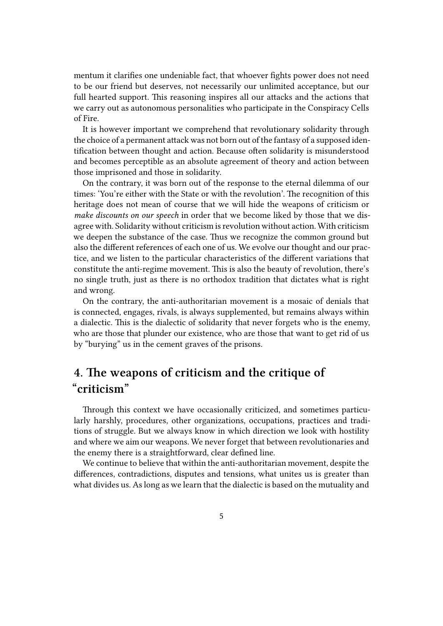mentum it clarifies one undeniable fact, that whoever fights power does not need to be our friend but deserves, not necessarily our unlimited acceptance, but our full hearted support. This reasoning inspires all our attacks and the actions that we carry out as autonomous personalities who participate in the Conspiracy Cells of Fire.

It is however important we comprehend that revolutionary solidarity through the choice of a permanent attack was not born out of the fantasy of a supposed identification between thought and action. Because often solidarity is misunderstood and becomes perceptible as an absolute agreement of theory and action between those imprisoned and those in solidarity.

On the contrary, it was born out of the response to the eternal dilemma of our times: 'You're either with the State or with the revolution'. The recognition of this heritage does not mean of course that we will hide the weapons of criticism or *make discounts on our speech* in order that we become liked by those that we disagree with. Solidarity without criticism is revolution without action. With criticism we deepen the substance of the case. Thus we recognize the common ground but also the different references of each one of us. We evolve our thought and our practice, and we listen to the particular characteristics of the different variations that constitute the anti-regime movement. This is also the beauty of revolution, there's no single truth, just as there is no orthodox tradition that dictates what is right and wrong.

On the contrary, the anti-authoritarian movement is a mosaic of denials that is connected, engages, rivals, is always supplemented, but remains always within a dialectic. This is the dialectic of solidarity that never forgets who is the enemy, who are those that plunder our existence, who are those that want to get rid of us by "burying" us in the cement graves of the prisons.

## **4. The weapons of criticism and the critique of "criticism"**

Through this context we have occasionally criticized, and sometimes particularly harshly, procedures, other organizations, occupations, practices and traditions of struggle. But we always know in which direction we look with hostility and where we aim our weapons. We never forget that between revolutionaries and the enemy there is a straightforward, clear defined line.

We continue to believe that within the anti-authoritarian movement, despite the differences, contradictions, disputes and tensions, what unites us is greater than what divides us. As long as we learn that the dialectic is based on the mutuality and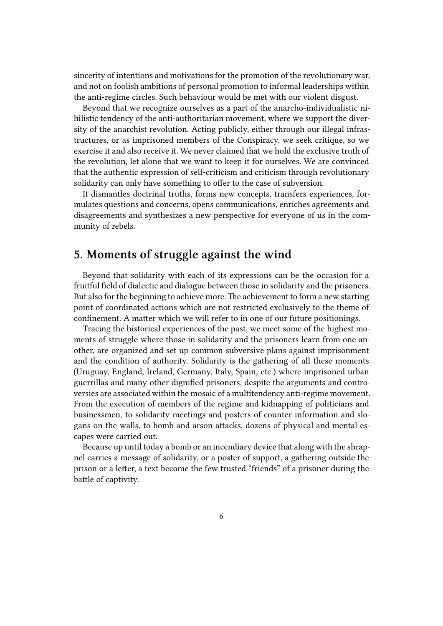sincerity of intentions and motivations for the promotion of the revolutionary war, and not on foolish ambitions of personal promotion to informal leaderships within the anti-regime circles. Such behaviour would be met with our violent disgust.

Beyond that we recognize ourselves as a part of the anarcho-individualistic nihilistic tendency of the anti-authoritarian movement, where we support the diversity of the anarchist revolution. Acting publicly, either through our illegal infrastructures, or as imprisoned members of the Conspiracy, we seek critique, so we exercise it and also receive it. We never claimed that we hold the exclusive truth of the revolution, let alone that we want to keep it for ourselves. We are convinced that the authentic expression of self-criticism and criticism through revolutionary solidarity can only have something to offer to the case of subversion.

It dismantles doctrinal truths, forms new concepts, transfers experiences, formulates questions and concerns, opens communications, enriches agreements and disagreements and synthesizes a new perspective for everyone of us in the community of rebels.

#### **5. Moments of struggle against the wind**

Beyond that solidarity with each of its expressions can be the occasion for a fruitful field of dialectic and dialogue between those in solidarity and the prisoners. But also for the beginning to achieve more. The achievement to form a new starting point of coordinated actions which are not restricted exclusively to the theme of confinement. A matter which we will refer to in one of our future positionings.

Tracing the historical experiences of the past, we meet some of the highest moments of struggle where those in solidarity and the prisoners learn from one another, are organized and set up common subversive plans against imprisonment and the condition of authority. Solidarity is the gathering of all these moments (Uruguay, England, Ireland, Germany, Italy, Spain, etc.) where imprisoned urban guerrillas and many other dignified prisoners, despite the arguments and controversies are associated within the mosaic of a multitendency anti-regime movement. From the execution of members of the regime and kidnapping of politicians and businessmen, to solidarity meetings and posters of counter information and slogans on the walls, to bomb and arson attacks, dozens of physical and mental escapes were carried out.

Because up until today a bomb or an incendiary device that along with the shrapnel carries a message of solidarity, or a poster of support, a gathering outside the prison or a letter, a text become the few trusted "friends" of a prisoner during the battle of captivity.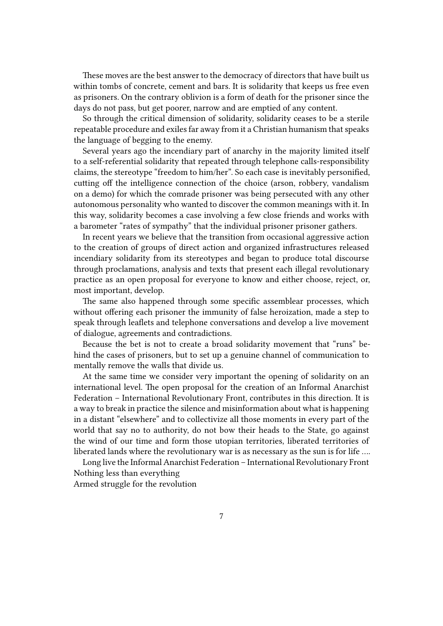These moves are the best answer to the democracy of directors that have built us within tombs of concrete, cement and bars. It is solidarity that keeps us free even as prisoners. On the contrary oblivion is a form of death for the prisoner since the days do not pass, but get poorer, narrow and are emptied of any content.

So through the critical dimension of solidarity, solidarity ceases to be a sterile repeatable procedure and exiles far away from it a Christian humanism that speaks the language of begging to the enemy.

Several years ago the incendiary part of anarchy in the majority limited itself to a self-referential solidarity that repeated through telephone calls-responsibility claims, the stereotype "freedom to him/her". So each case is inevitably personified, cutting off the intelligence connection of the choice (arson, robbery, vandalism on a demo) for which the comrade prisoner was being persecuted with any other autonomous personality who wanted to discover the common meanings with it. In this way, solidarity becomes a case involving a few close friends and works with a barometer "rates of sympathy" that the individual prisoner prisoner gathers.

In recent years we believe that the transition from occasional aggressive action to the creation of groups of direct action and organized infrastructures released incendiary solidarity from its stereotypes and began to produce total discourse through proclamations, analysis and texts that present each illegal revolutionary practice as an open proposal for everyone to know and either choose, reject, or, most important, develop.

The same also happened through some specific assemblear processes, which without offering each prisoner the immunity of false heroization, made a step to speak through leaflets and telephone conversations and develop a live movement of dialogue, agreements and contradictions.

Because the bet is not to create a broad solidarity movement that "runs" behind the cases of prisoners, but to set up a genuine channel of communication to mentally remove the walls that divide us.

At the same time we consider very important the opening of solidarity on an international level. The open proposal for the creation of an Informal Anarchist Federation – International Revolutionary Front, contributes in this direction. It is a way to break in practice the silence and misinformation about what is happening in a distant "elsewhere" and to collectivize all those moments in every part of the world that say no to authority, do not bow their heads to the State, go against the wind of our time and form those utopian territories, liberated territories of liberated lands where the revolutionary war is as necessary as the sun is for life ….

Long live the Informal Anarchist Federation – International Revolutionary Front Nothing less than everything

Armed struggle for the revolution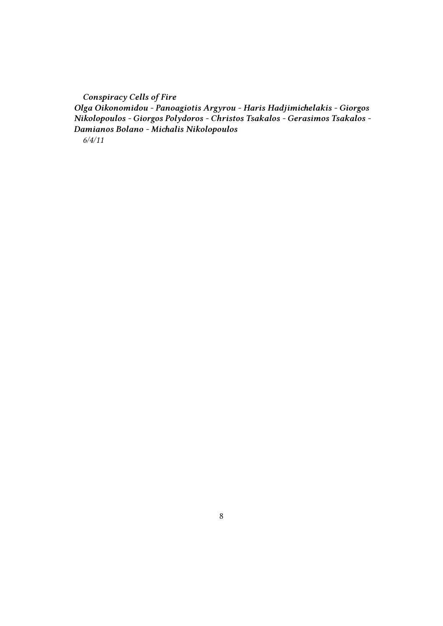*Conspiracy Cells of Fire Olga Oikonomidou - Panoagiotis Argyrou - Haris Hadjimichelakis - Giorgos Nikolopoulos - Giorgos Polydoros - Christos Tsakalos - Gerasimos Tsakalos - Damianos Bolano - Michalis Nikolopoulos 6/4/11*